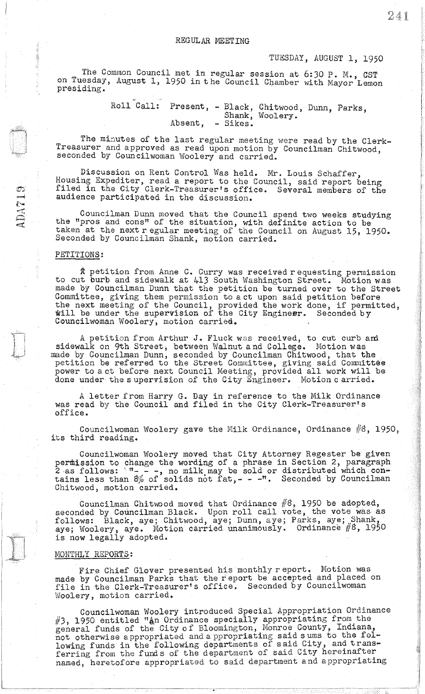The Common Council met in regular session at 6: 30 P. M., CST on Tuesday, August 1, 1950 in the Council Chamber with Mayor Lemon presiding.

Roll Call: Present, - Black, Chitwood, Dunn, Parks, Absent, Shank, Woolery.<br>- Sikes.

The minutes of the last regular meeting were read by the Clerk-Treasurer and approved as read upon motion by Councilman Chitwood, seconded by Councilwoman Woolery and carried.

Discussion on Rent Control Was held. Mr. Louis Schaffer, Housing Expediter, read a report to the Council, said report being filed in the City Clerk-Treasurer's office. Several members of the audience participated in the discussion.

Councilman Dunn moved that the Council spend two weeks studying the "pros and cons" of the situation, with definite action to be taken at the next regular meeting of the Council on August 15, 1950. Seconded by Councilman Shank, motion carried.

## PETITIONS:

 $\varpi$  .  $\epsilon$  .

**(\* 1868)**<br>1930)<br>1930)

 $\#$  petition from Anne C. Curry was received requesting permission to cut burb and sidewalk at 413 South Washington Street. Motion was made by Councilman Dunn that the petition be turned over to the Street Committee, giving them permission to act upon said petition before the next meeting of the Council, provided the work done, if permitted, will be under the supervision of the City Engineer. Seconded by Councilwoman Woolery, motion carried.

A petition from Arthur J. Fluck was received, to cut curb and sidewalk on 9th Street, between Walnut and College. Motion was made by Councilman Dunn, seconded by Councilman Chitwood, that the petition be referred to the Street Committee, giving said Committee power to act before next Council Meeting, provided all work will be done under the supervision of the City Engineer. Motion carried.

A letter from Harry G. Day in reference to the Milk Ordinance was read by the Council and filed in the City Clerk-Treasurer's office.

Councilwoman Woolery gave the Milk Ordinance, Ordinance  $\#8$ , 1950, its third reading.

Councilwoman Woolery moved that City Attorney Regester be given permission to change the wording of a phrase in Section 2, paragraph  $2$  as follows:  $''_{7} -$ , no milk may be sold or distributed which contains less than  $8\%$  of solids not fat,  $- -$ ". Seconded by Councilman Chitwood, motion carried.

Councilman Chitwood moved that Ordinance  $\#8$ , 1950 be adopted, seconded by Councilman Black. Upon roll call vote, the vote was as follows: Black, aye; Chitwood, aye; Dunn, aye; Parks, aye; Shank, aye; Woolery, aye. Motion carried unanimously. Ordinance #8, 1950 ayo, wordery, dyc. Hoo.<br>is now legally adopted.

## MONTHLY REPORTS:

Fire Chief Glover presented his monthly report. Motion was made by Councilman Parks that the report be accepted and placed on file in the Clerk-Treasurer's office. Seconded by Councilwoman Woolery, motion carried.

Councilwoman Woolery introduced Special Appropriation Ordinance #3, 1950 entitled "An Ordinance specially appropriating from the general funds of the City of Bloomington, Monroe County, Indiana, general runds of the orty or brooming con, non-columnary, the following funds in the following departments of said City, and transferring from the funds of the department of said City hereinafter named, heretofore appropriated to said department and appropriating

;i **International** 1

il  $\lambda$ l ,l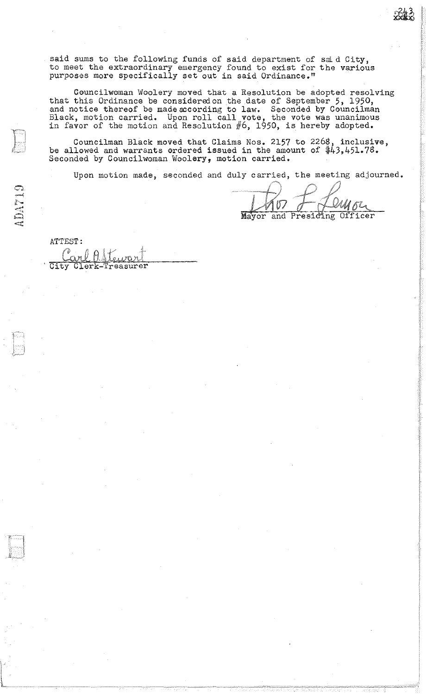said sums to the following funds of said department of said City, to meet the extraordinary emergency found to exist for the various purposes more specifically set out in said Ordinance."

Councilwoman Woolery moved that a Resolution be adopted resolving that this Ordinance be consideredon the date of September 5, 1950, and notice thereof be made according to law. Seconded by Councilman Black, motion carried. Upon roll call vote, the vote was unanimous in favor of the motion and Resolution #6, 1950, is hereby adopted.

Councilman Black moved that Claims Nos. 2157 to 2268, inclusive, be allowed and warrants ordered issued in the amount of \$43,451.78. Seconded by Councilwoman Woolery, motion carried.

Upon motion made, seconded and duly carried, the meeting adjourned.

 $\leftarrow$   $\leftarrow$   $\leftarrow$   $\leftarrow$  $LR$ ,  $f_{\varphi}$ \_\_ MUT TESION OF WAGE

 $\frac{243}{242}$ 

r

ATTEST: (D fl •1 :t·· L ALLOI.<br>Carl <u>O. Stewart</u><br>City Clerk-Treasurer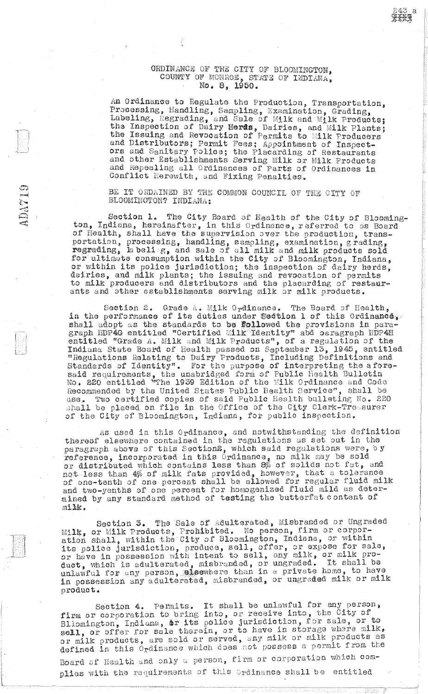## ORDINANCE OF THE CITY OF BLOOMINGTON. COUNTY OF MONROE, STATE OF INDIANA, No.  $8, 1950.$

 $\alpha$ XXXX

An Ordinance to Regulate the Production, Transportation, Processing, Handling, Sampling, Examination, Grading, Labeling, Regrading, and Sale of Milk and Milk Products; the Inspection of Dairy Herds, Dairies, and Milk Plants;<br>the Issuing and Revocation of Permits to Milk Producers<br>and Distributors; Permit Fees; Appointment of Inspect-<br>ors and Sanitary Police; the Placarding of Restaurants and other Establishments Serving Milk or Milk Products and Repealing all Ordinances of Parts of Ordinances in Conflict Herewith, and Fixing Penalties.

BE IT ORDAINED BY THE COMMON COUNCIL OF THE CITY OF BLOOMINGTON? INDIANA:

dhi i

Section 1. The City Board of Health of the City of Bloomington, Indiana, hereinafter, in this Ordinance, referred to as Board of Health, shall have the supervision over the production, transportation, processing, handling, sampling, examination, grading, regrading, hoelies, and sale of all milk and milk products sold for ultimate consumption within the City of Bloomington, Indiana, or within its police jurisdiction; the inspection of dairy herds, dairies, and milk plants; the issuing and revocation of permits<br>to milk producers and distributors and the placarding of restaurants and other establishments serving milk or milk products.

Section 2. Grade A. Milk Ordinance. The Board of Health, in the performance of its duties under Section 1 of this Ordinance. shall adopt as the standards to be followed the provisions in para-<br>graph HDP4G entitled "Certified Milk Identity" abd oaragraph HDP4H<br>entitled "Grade A. Milk and Milk Products", of a regulation of the Indiana State Board of Health passed on September 13, 1945, entitled "Regulations Relating to Dairy Products, Including Definitions and<br>Standards of Identity". For the purpose of interpreting the afore-<br>said requirements, the unabridged form of Public Realth Bulletin<br>No. 220 entitled "The 1 Recommended by the United States Public Health Service", shall be Two certified copies of said Public Health bulleting No. 220 shall be placed on file in the Office of the City Clerk-Tressurer of the City of Bloomington, Indiana, for public inspection.

As used in this Ordinance, and notwithstanding the definition thereof elsewhere contained in the regulations as set out in the paragraph above of this Sections, which said regulations were, by<br>reference, incorporated in this Ordinance, no milk may be sold<br>or distributed which contains less than 8% of solids not fat, and not less than 4% of milk fats provided, however, that a tolerance of one-tenth of one percent shall be allowed for regular fluid milk and two-yenths of one percent for homogenized fluid mild as deter-<br>mined by any standard method of testing the butterfat content of  $mlk.$ 

Section 3. The Sale of Adulterated, Misbranded or Ungraded Section J. The Sale of Additerated, Misoranded or Ongraded<br>Milk, or Milk Products, Prohibited. No person, firm or corpor-<br>ation shall, within the City of Bloomington, Indiana, or within<br>its police jurisdiction, produce, se in possession any adulterated, misbranded, or ungraded milk or milk product.

Section 4. Permits. It shall be unlawful for any person. firm or corporation to bring into, or receive into, the City of<br>Bllomington, Indiana, or its police jurisdiction, for sale, or to<br>sell, or offer for sale therein, or to have in storage where milk, or milk products, are sold or served, any milk or milk products as defined in this Ordinance which does not possess a permit from the Board of Health and only a person, firm or corporation which complies with the requirements of this Ordinance shall be entitled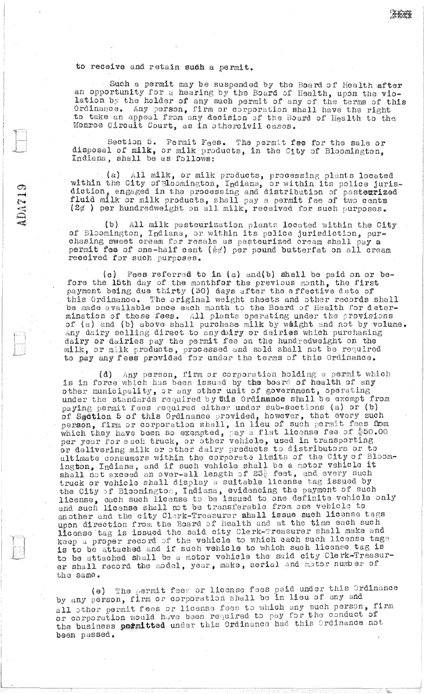to receive and retain such a permit.

Alla 119

Such a permit may be suspended by the Board of Health after<br>an opportunity for a hearing by the Board of Health, upon the violation by the holder of any such permit of any of the terms of this<br>Ordinance. Any person, firm or corporation shall have the right to take an appeal from any decision of the Board of Health to the Monroe Circuit Court, as in othercivil cases.

Section 5. Permit Fees. The permit fee for the sale or disposal of milk, or milk products, in the City of Bloomington, Indiana, shall be as follows:

(a) All milk, or milk products, processing plants located within the City of Bloomington, Indiana, or within its police jurisdiction, engaged in the processing and distribution of pasteurized fluid milk or milk products, shall pay a permit fee of two cents (2¢ ) per hundredweight on all milk, received for such purposes.

 $(b)$ All milk pasteurization plants located within the City of Bloomington, Indiana, or within its police jurisdiction, pur-<br>chasing sweet cream for resale as pasteurized cream shall pay a<br>permit fee of one-half cent ( $\frac{1}{2}\varphi$ ) per pound butterfat on all cream received for such purposes.

Fees referred to in (a) and(b) shall be paid on or be- $\{c\}$ fore the 15th day of the monthfor the previous month, the first<br>payment being due thirty (30) days after the effective date of<br>this Ordinance. The original weight sheets and other records shall be made available once each month to the Board of Health for determination of these fees. All plants operating under the provisions of (a) and (b) above shall purchase milk by weight and not by volume. Any dairy selling direct to any chiry or dairies which purchasing dairy or dairies pay the permit fee on the hundredweight on the milk, or milk products, processed and sold shall not be required to pay any fees provided for under the terms of this Ordinance.

(d) Any person, firm or corporation holding a permit which<br>is in force which has been issued by the board of health of any other municipality, or any other unit of government, operating under the standards required by this Ordinance shall be excmpt from paying permit fees required either under sub-sections (a) or (b)<br>of Saction 5 of this Ordinance provided, however, that every such<br>person, firm or corporation shall, in lieu of such permit fees from person, irm or corporation shall, in lieu or such permit ises imm<br>which they have been so exempted, pay a flat license fee of \$50.00<br>per year for each truck, or other vehicle, used in transporting<br>or delivering milk or oth the City of Bloomington, Indiana, evidencing the payment of such license, each such license to be issued to one definite vehicle only and such license shall not be transferable from one vehicle to another and the city Clark-Treasurer shall issue such license tags upon direction from the Board of Health and at the time each such license tag is issued the said city Clerk-Treasurer shall make and keep a proper record of the vehicle to which each such license tage is to be attached and if such vehicle to which such license tag is to be attached shall be a motor vehicle the said city Clerk-Treasurer shall record the model, year, make, serial and motor number of the same.

The permit fees or license fees paid under this Ordinance  $(e)$ by any person, firm or corporation shall be in lieu of any and all other permit fees or license fees to which any such person, firm or corporation would have been required to pay for the conduct of the business parmitted under this Ordinance had this Ordinance not been passed.